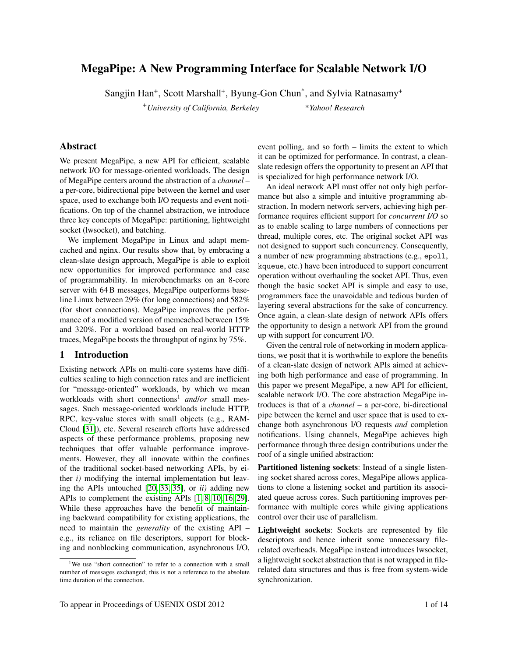# MegaPipe: A New Programming Interface for Scalable Network I/O

Sangjin Han<sup>+</sup>, Scott Marshall<sup>+</sup>, Byung-Gon Chun<sup>\*</sup>, and Sylvia Ratnasamy<sup>+</sup>

<sup>+</sup>*University of California, Berkeley* \**Yahoo! Research*

## Abstract

We present MegaPipe, a new API for efficient, scalable network I/O for message-oriented workloads. The design of MegaPipe centers around the abstraction of a *channel* – a per-core, bidirectional pipe between the kernel and user space, used to exchange both I/O requests and event notifications. On top of the channel abstraction, we introduce three key concepts of MegaPipe: partitioning, lightweight socket (lwsocket), and batching.

We implement MegaPipe in Linux and adapt memcached and nginx. Our results show that, by embracing a clean-slate design approach, MegaPipe is able to exploit new opportunities for improved performance and ease of programmability. In microbenchmarks on an 8-core server with 64 B messages, MegaPipe outperforms baseline Linux between 29% (for long connections) and 582% (for short connections). MegaPipe improves the performance of a modified version of memcached between 15% and 320%. For a workload based on real-world HTTP traces, MegaPipe boosts the throughput of nginx by 75%.

## 1 Introduction

Existing network APIs on multi-core systems have difficulties scaling to high connection rates and are inefficient for "message-oriented" workloads, by which we mean workloads with short connections<sup>1</sup> and/or small messages. Such message-oriented workloads include HTTP, RPC, key-value stores with small objects (e.g., RAM-Cloud [\[31\]](#page-13-0)), etc. Several research efforts have addressed aspects of these performance problems, proposing new techniques that offer valuable performance improvements. However, they all innovate within the confines of the traditional socket-based networking APIs, by either *i)* modifying the internal implementation but leaving the APIs untouched [\[20,](#page-13-1) [33,](#page-13-2) [35\]](#page-13-3), or *ii)* adding new APIs to complement the existing APIs [\[1,](#page-13-4) [8,](#page-13-5) [10,](#page-13-6) [16,](#page-13-7) [29\]](#page-13-8). While these approaches have the benefit of maintaining backward compatibility for existing applications, the need to maintain the *generality* of the existing API – e.g., its reliance on file descriptors, support for blocking and nonblocking communication, asynchronous I/O,

event polling, and so forth – limits the extent to which it can be optimized for performance. In contrast, a cleanslate redesign offers the opportunity to present an API that is specialized for high performance network I/O.

An ideal network API must offer not only high performance but also a simple and intuitive programming abstraction. In modern network servers, achieving high performance requires efficient support for *concurrent I/O* so as to enable scaling to large numbers of connections per thread, multiple cores, etc. The original socket API was not designed to support such concurrency. Consequently, a number of new programming abstractions (e.g., epoll, kqueue, etc.) have been introduced to support concurrent operation without overhauling the socket API. Thus, even though the basic socket API is simple and easy to use, programmers face the unavoidable and tedious burden of layering several abstractions for the sake of concurrency. Once again, a clean-slate design of network APIs offers the opportunity to design a network API from the ground up with support for concurrent I/O.

Given the central role of networking in modern applications, we posit that it is worthwhile to explore the benefits of a clean-slate design of network APIs aimed at achieving both high performance and ease of programming. In this paper we present MegaPipe, a new API for efficient, scalable network I/O. The core abstraction MegaPipe introduces is that of a *channel* – a per-core, bi-directional pipe between the kernel and user space that is used to exchange both asynchronous I/O requests *and* completion notifications. Using channels, MegaPipe achieves high performance through three design contributions under the roof of a single unified abstraction:

Partitioned listening sockets: Instead of a single listening socket shared across cores, MegaPipe allows applications to clone a listening socket and partition its associated queue across cores. Such partitioning improves performance with multiple cores while giving applications control over their use of parallelism.

Lightweight sockets: Sockets are represented by file descriptors and hence inherit some unnecessary filerelated overheads. MegaPipe instead introduces lwsocket, a lightweight socket abstraction that is not wrapped in filerelated data structures and thus is free from system-wide synchronization.

<sup>&</sup>lt;sup>1</sup>We use "short connection" to refer to a connection with a small number of messages exchanged; this is not a reference to the absolute time duration of the connection.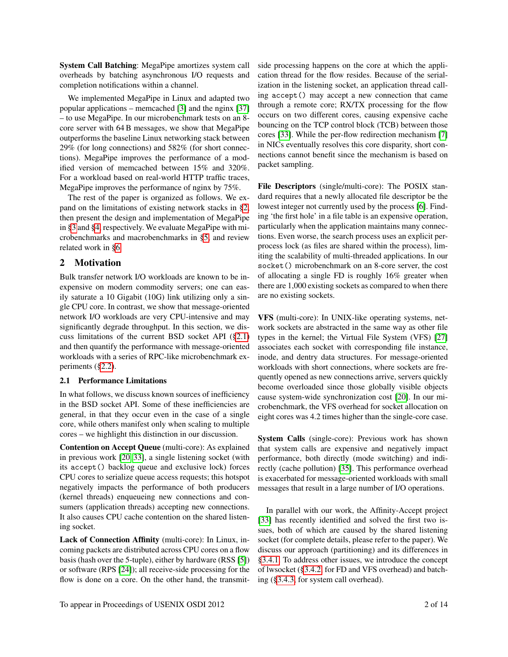System Call Batching: MegaPipe amortizes system call overheads by batching asynchronous I/O requests and completion notifications within a channel.

We implemented MegaPipe in Linux and adapted two popular applications – memcached [\[3\]](#page-13-9) and the nginx [\[37\]](#page-13-10) – to use MegaPipe. In our microbenchmark tests on an 8 core server with 64 B messages, we show that MegaPipe outperforms the baseline Linux networking stack between 29% (for long connections) and 582% (for short connections). MegaPipe improves the performance of a modified version of memcached between 15% and 320%. For a workload based on real-world HTTP traffic traces, MegaPipe improves the performance of nginx by 75%.

The rest of the paper is organized as follows. We expand on the limitations of existing network stacks in [§2,](#page-1-0) then present the design and implementation of MegaPipe in [§3](#page-3-0) and [§4,](#page-7-0) respectively. We evaluate MegaPipe with microbenchmarks and macrobenchmarks in [§5,](#page-8-0) and review related work in [§6.](#page-11-0)

## <span id="page-1-0"></span>2 Motivation

Bulk transfer network I/O workloads are known to be inexpensive on modern commodity servers; one can easily saturate a 10 Gigabit (10G) link utilizing only a single CPU core. In contrast, we show that message-oriented network I/O workloads are very CPU-intensive and may significantly degrade throughput. In this section, we discuss limitations of the current BSD socket API ([§2.1\)](#page-1-1) and then quantify the performance with message-oriented workloads with a series of RPC-like microbenchmark experiments ([§2.2\)](#page-2-0).

### <span id="page-1-1"></span>2.1 Performance Limitations

In what follows, we discuss known sources of inefficiency in the BSD socket API. Some of these inefficiencies are general, in that they occur even in the case of a single core, while others manifest only when scaling to multiple cores – we highlight this distinction in our discussion.

Contention on Accept Queue (multi-core): As explained in previous work [\[20,](#page-13-1) [33\]](#page-13-2), a single listening socket (with its accept() backlog queue and exclusive lock) forces CPU cores to serialize queue access requests; this hotspot negatively impacts the performance of both producers (kernel threads) enqueueing new connections and consumers (application threads) accepting new connections. It also causes CPU cache contention on the shared listening socket.

Lack of Connection Affinity (multi-core): In Linux, incoming packets are distributed across CPU cores on a flow basis (hash over the 5-tuple), either by hardware (RSS [\[5\]](#page-13-11)) or software (RPS [\[24\]](#page-13-12)); all receive-side processing for the flow is done on a core. On the other hand, the transmitside processing happens on the core at which the application thread for the flow resides. Because of the serialization in the listening socket, an application thread calling accept() may accept a new connection that came through a remote core; RX/TX processing for the flow occurs on two different cores, causing expensive cache bouncing on the TCP control block (TCB) between those cores [\[33\]](#page-13-2). While the per-flow redirection mechanism [\[7\]](#page-13-13) in NICs eventually resolves this core disparity, short connections cannot benefit since the mechanism is based on packet sampling.

File Descriptors (single/multi-core): The POSIX standard requires that a newly allocated file descriptor be the lowest integer not currently used by the process [\[6\]](#page-13-14). Finding 'the first hole' in a file table is an expensive operation, particularly when the application maintains many connections. Even worse, the search process uses an explicit perprocess lock (as files are shared within the process), limiting the scalability of multi-threaded applications. In our socket() microbenchmark on an 8-core server, the cost of allocating a single FD is roughly 16% greater when there are 1,000 existing sockets as compared to when there are no existing sockets.

VFS (multi-core): In UNIX-like operating systems, network sockets are abstracted in the same way as other file types in the kernel; the Virtual File System (VFS) [\[27\]](#page-13-15) associates each socket with corresponding file instance, inode, and dentry data structures. For message-oriented workloads with short connections, where sockets are frequently opened as new connections arrive, servers quickly become overloaded since those globally visible objects cause system-wide synchronization cost [\[20\]](#page-13-1). In our microbenchmark, the VFS overhead for socket allocation on eight cores was 4.2 times higher than the single-core case.

System Calls (single-core): Previous work has shown that system calls are expensive and negatively impact performance, both directly (mode switching) and indirectly (cache pollution) [\[35\]](#page-13-3). This performance overhead is exacerbated for message-oriented workloads with small messages that result in a large number of I/O operations.

In parallel with our work, the Affinity-Accept project [\[33\]](#page-13-2) has recently identified and solved the first two issues, both of which are caused by the shared listening socket (for complete details, please refer to the paper). We discuss our approach (partitioning) and its differences in [§3.4.1.](#page-4-0) To address other issues, we introduce the concept of lwsocket ([§3.4.2,](#page-4-1) for FD and VFS overhead) and batching ([§3.4.3,](#page-5-0) for system call overhead).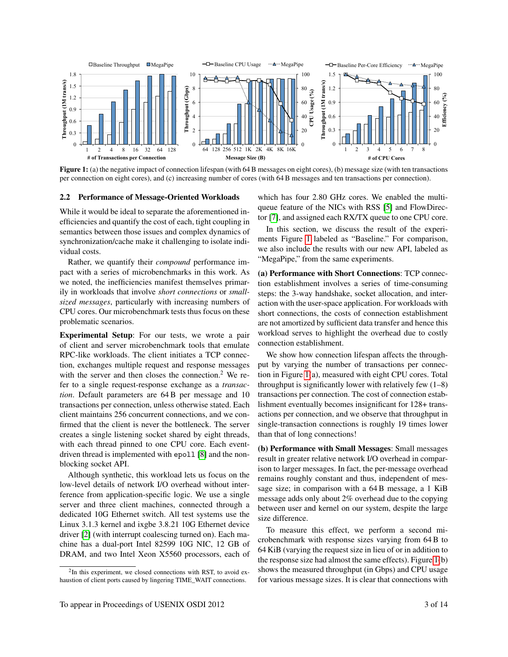<span id="page-2-1"></span>

Figure 1: (a) the negative impact of connection lifespan (with 64 B messages on eight cores), (b) message size (with ten transactions per connection on eight cores), and (c) increasing number of cores (with 64 B messages and ten transactions per connection).

#### <span id="page-2-0"></span>2.2 Performance of Message-Oriented Workloads

While it would be ideal to separate the aforementioned inefficiencies and quantify the cost of each, tight coupling in semantics between those issues and complex dynamics of synchronization/cache make it challenging to isolate individual costs.

Rather, we quantify their *compound* performance impact with a series of microbenchmarks in this work. As we noted, the inefficiencies manifest themselves primarily in workloads that involve *short connections* or *smallsized messages*, particularly with increasing numbers of CPU cores. Our microbenchmark tests thus focus on these problematic scenarios.

Experimental Setup: For our tests, we wrote a pair of client and server microbenchmark tools that emulate RPC-like workloads. The client initiates a TCP connection, exchanges multiple request and response messages with the server and then closes the connection.<sup>2</sup> We refer to a single request-response exchange as a *transaction*. Default parameters are 64 B per message and 10 transactions per connection, unless otherwise stated. Each client maintains 256 concurrent connections, and we confirmed that the client is never the bottleneck. The server creates a single listening socket shared by eight threads, with each thread pinned to one CPU core. Each eventdriven thread is implemented with epoll [\[8\]](#page-13-5) and the nonblocking socket API.

Although synthetic, this workload lets us focus on the low-level details of network I/O overhead without interference from application-specific logic. We use a single server and three client machines, connected through a dedicated 10G Ethernet switch. All test systems use the Linux 3.1.3 kernel and ixgbe 3.8.21 10G Ethernet device driver [\[2\]](#page-13-16) (with interrupt coalescing turned on). Each machine has a dual-port Intel 82599 10G NIC, 12 GB of DRAM, and two Intel Xeon X5560 processors, each of

which has four 2.80 GHz cores. We enabled the multiqueue feature of the NICs with RSS [\[5\]](#page-13-11) and FlowDirector [\[7\]](#page-13-13), and assigned each RX/TX queue to one CPU core.

In this section, we discuss the result of the experiments Figure [1](#page-2-1) labeled as "Baseline." For comparison, we also include the results with our new API, labeled as "MegaPipe," from the same experiments.

(a) Performance with Short Connections: TCP connection establishment involves a series of time-consuming steps: the 3-way handshake, socket allocation, and interaction with the user-space application. For workloads with short connections, the costs of connection establishment are not amortized by sufficient data transfer and hence this workload serves to highlight the overhead due to costly connection establishment.

We show how connection lifespan affects the throughput by varying the number of transactions per connection in Figure [1\(](#page-2-1)a), measured with eight CPU cores. Total throughput is significantly lower with relatively few  $(1–8)$ transactions per connection. The cost of connection establishment eventually becomes insignificant for 128+ transactions per connection, and we observe that throughput in single-transaction connections is roughly 19 times lower than that of long connections!

(b) Performance with Small Messages: Small messages result in greater relative network I/O overhead in comparison to larger messages. In fact, the per-message overhead remains roughly constant and thus, independent of message size; in comparison with a 64 B message, a 1 KiB message adds only about 2% overhead due to the copying between user and kernel on our system, despite the large size difference.

To measure this effect, we perform a second microbenchmark with response sizes varying from 64 B to 64 KiB (varying the request size in lieu of or in addition to the response size had almost the same effects). Figure [1\(](#page-2-1)b) shows the measured throughput (in Gbps) and CPU usage for various message sizes. It is clear that connections with

<sup>&</sup>lt;sup>2</sup>In this experiment, we closed connections with RST, to avoid exhaustion of client ports caused by lingering TIME\_WAIT connections.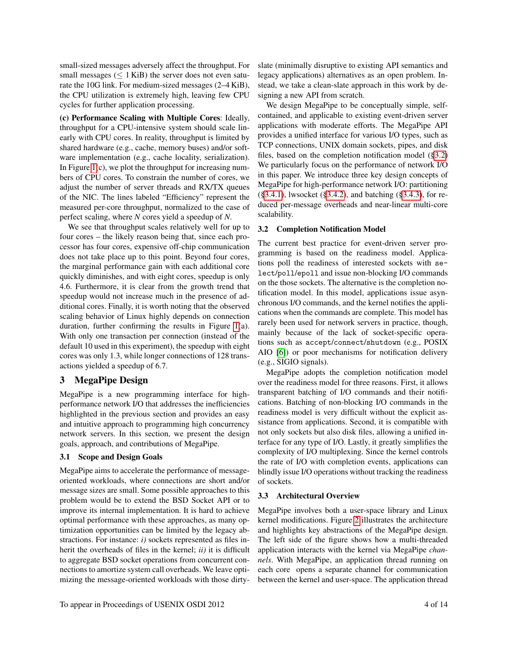small-sized messages adversely affect the throughput. For small messages ( $\leq 1$  KiB) the server does not even saturate the 10G link. For medium-sized messages (2–4 KiB), the CPU utilization is extremely high, leaving few CPU cycles for further application processing.

(c) Performance Scaling with Multiple Cores: Ideally, throughput for a CPU-intensive system should scale linearly with CPU cores. In reality, throughput is limited by shared hardware (e.g., cache, memory buses) and/or software implementation (e.g., cache locality, serialization). In Figure  $1(c)$ , we plot the throughput for increasing numbers of CPU cores. To constrain the number of cores, we adjust the number of server threads and RX/TX queues of the NIC. The lines labeled "Efficiency" represent the measured per-core throughput, normalized to the case of perfect scaling, where *N* cores yield a speedup of *N*.

We see that throughput scales relatively well for up to four cores – the likely reason being that, since each processor has four cores, expensive off-chip communication does not take place up to this point. Beyond four cores, the marginal performance gain with each additional core quickly diminishes, and with eight cores, speedup is only 4.6. Furthermore, it is clear from the growth trend that speedup would not increase much in the presence of additional cores. Finally, it is worth noting that the observed scaling behavior of Linux highly depends on connection duration, further confirming the results in Figure [1\(](#page-2-1)a). With only one transaction per connection (instead of the default 10 used in this experiment), the speedup with eight cores was only 1.3, while longer connections of 128 transactions yielded a speedup of 6.7.

## <span id="page-3-0"></span>3 MegaPipe Design

MegaPipe is a new programming interface for highperformance network I/O that addresses the inefficiencies highlighted in the previous section and provides an easy and intuitive approach to programming high concurrency network servers. In this section, we present the design goals, approach, and contributions of MegaPipe.

### 3.1 Scope and Design Goals

MegaPipe aims to accelerate the performance of messageoriented workloads, where connections are short and/or message sizes are small. Some possible approaches to this problem would be to extend the BSD Socket API or to improve its internal implementation. It is hard to achieve optimal performance with these approaches, as many optimization opportunities can be limited by the legacy abstractions. For instance: *i*) sockets represented as files inherit the overheads of files in the kernel; *ii)* it is difficult to aggregate BSD socket operations from concurrent connections to amortize system call overheads. We leave optimizing the message-oriented workloads with those dirtyslate (minimally disruptive to existing API semantics and legacy applications) alternatives as an open problem. Instead, we take a clean-slate approach in this work by designing a new API from scratch.

We design MegaPipe to be conceptually simple, selfcontained, and applicable to existing event-driven server applications with moderate efforts. The MegaPipe API provides a unified interface for various I/O types, such as TCP connections, UNIX domain sockets, pipes, and disk files, based on the completion notification model ([§3.2\)](#page-3-1) We particularly focus on the performance of network I/O in this paper. We introduce three key design concepts of MegaPipe for high-performance network I/O: partitioning ([§3.4.1\)](#page-4-0), lwsocket ([§3.4.2\)](#page-4-1), and batching ([§3.4.3\)](#page-5-0), for reduced per-message overheads and near-linear multi-core scalability.

#### <span id="page-3-1"></span>3.2 Completion Notification Model

The current best practice for event-driven server programming is based on the readiness model. Applications poll the readiness of interested sockets with select/poll/epoll and issue non-blocking I/O commands on the those sockets. The alternative is the completion notification model. In this model, applications issue asynchronous I/O commands, and the kernel notifies the applications when the commands are complete. This model has rarely been used for network servers in practice, though, mainly because of the lack of socket-specific operations such as accept/connect/shutdown (e.g., POSIX AIO [\[6\]](#page-13-14)) or poor mechanisms for notification delivery (e.g., SIGIO signals).

MegaPipe adopts the completion notification model over the readiness model for three reasons. First, it allows transparent batching of I/O commands and their notifications. Batching of non-blocking I/O commands in the readiness model is very difficult without the explicit assistance from applications. Second, it is compatible with not only sockets but also disk files, allowing a unified interface for any type of I/O. Lastly, it greatly simplifies the complexity of I/O multiplexing. Since the kernel controls the rate of I/O with completion events, applications can blindly issue I/O operations without tracking the readiness of sockets.

### <span id="page-3-2"></span>3.3 Architectural Overview

MegaPipe involves both a user-space library and Linux kernel modifications. Figure [2](#page-4-2) illustrates the architecture and highlights key abstractions of the MegaPipe design. The left side of the figure shows how a multi-threaded application interacts with the kernel via MegaPipe *channels*. With MegaPipe, an application thread running on each core opens a separate channel for communication between the kernel and user-space. The application thread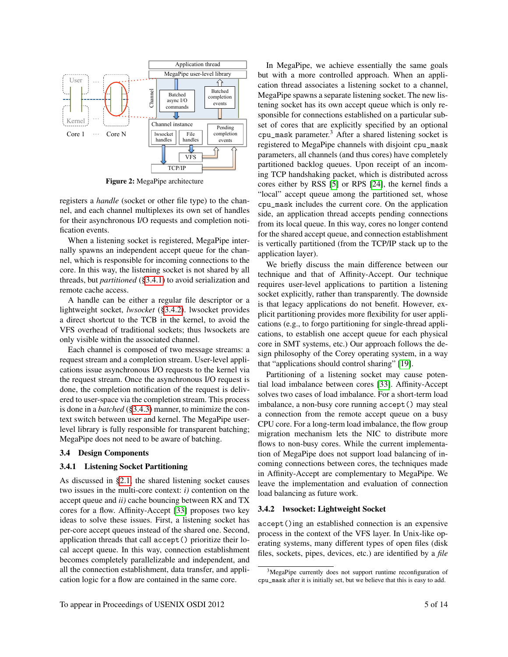<span id="page-4-2"></span>

Figure 2: MegaPipe architecture

registers a *handle* (socket or other file type) to the channel, and each channel multiplexes its own set of handles for their asynchronous I/O requests and completion notification events.

When a listening socket is registered, MegaPipe internally spawns an independent accept queue for the channel, which is responsible for incoming connections to the core. In this way, the listening socket is not shared by all threads, but *partitioned* ([§3.4.1\)](#page-4-0) to avoid serialization and remote cache access.

A handle can be either a regular file descriptor or a lightweight socket, *lwsocket* ([§3.4.2\)](#page-4-1). lwsocket provides a direct shortcut to the TCB in the kernel, to avoid the VFS overhead of traditional sockets; thus lwsockets are only visible within the associated channel.

Each channel is composed of two message streams: a request stream and a completion stream. User-level applications issue asynchronous I/O requests to the kernel via the request stream. Once the asynchronous I/O request is done, the completion notification of the request is delivered to user-space via the completion stream. This process is done in a *batched* ([§3.4.3\)](#page-5-0) manner, to minimize the context switch between user and kernel. The MegaPipe userlevel library is fully responsible for transparent batching; MegaPipe does not need to be aware of batching.

#### 3.4 Design Components

#### <span id="page-4-0"></span>3.4.1 Listening Socket Partitioning

As discussed in [§2.1,](#page-1-1) the shared listening socket causes two issues in the multi-core context: *i)* contention on the accept queue and *ii)* cache bouncing between RX and TX cores for a flow. Affinity-Accept [\[33\]](#page-13-2) proposes two key ideas to solve these issues. First, a listening socket has per-core accept queues instead of the shared one. Second, application threads that call accept() prioritize their local accept queue. In this way, connection establishment becomes completely parallelizable and independent, and all the connection establishment, data transfer, and application logic for a flow are contained in the same core.

In MegaPipe, we achieve essentially the same goals but with a more controlled approach. When an application thread associates a listening socket to a channel, MegaPipe spawns a separate listening socket. The new listening socket has its own accept queue which is only responsible for connections established on a particular subset of cores that are explicitly specified by an optional cpu\_mask parameter.<sup>3</sup> After a shared listening socket is registered to MegaPipe channels with disjoint cpu\_mask parameters, all channels (and thus cores) have completely partitioned backlog queues. Upon receipt of an incoming TCP handshaking packet, which is distributed across cores either by RSS [\[5\]](#page-13-11) or RPS [\[24\]](#page-13-12), the kernel finds a "local" accept queue among the partitioned set, whose cpu\_mask includes the current core. On the application side, an application thread accepts pending connections from its local queue. In this way, cores no longer contend for the shared accept queue, and connection establishment is vertically partitioned (from the TCP/IP stack up to the application layer).

We briefly discuss the main difference between our technique and that of Affinity-Accept. Our technique requires user-level applications to partition a listening socket explicitly, rather than transparently. The downside is that legacy applications do not benefit. However, explicit partitioning provides more flexibility for user applications (e.g., to forgo partitioning for single-thread applications, to establish one accept queue for each physical core in SMT systems, etc.) Our approach follows the design philosophy of the Corey operating system, in a way that "applications should control sharing" [\[19\]](#page-13-17).

Partitioning of a listening socket may cause potential load imbalance between cores [\[33\]](#page-13-2). Affinity-Accept solves two cases of load imbalance. For a short-term load imbalance, a non-busy core running accept() may steal a connection from the remote accept queue on a busy CPU core. For a long-term load imbalance, the flow group migration mechanism lets the NIC to distribute more flows to non-busy cores. While the current implementation of MegaPipe does not support load balancing of incoming connections between cores, the techniques made in Affinity-Accept are complementary to MegaPipe. We leave the implementation and evaluation of connection load balancing as future work.

#### <span id="page-4-1"></span>3.4.2 lwsocket: Lightweight Socket

accept()ing an established connection is an expensive process in the context of the VFS layer. In Unix-like operating systems, many different types of open files (disk files, sockets, pipes, devices, etc.) are identified by a *file*

 $3$ MegaPipe currently does not support runtime reconfiguration of cpu\_mask after it is initially set, but we believe that this is easy to add.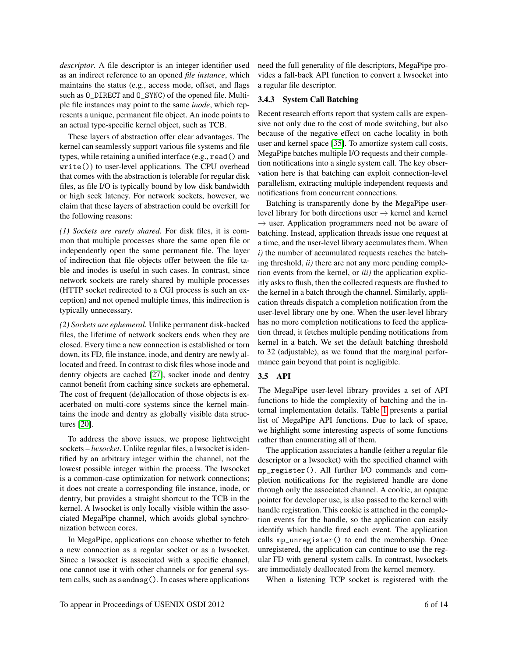*descriptor*. A file descriptor is an integer identifier used as an indirect reference to an opened *file instance*, which maintains the status (e.g., access mode, offset, and flags such as O\_DIRECT and O\_SYNC) of the opened file. Multiple file instances may point to the same *inode*, which represents a unique, permanent file object. An inode points to an actual type-specific kernel object, such as TCB.

These layers of abstraction offer clear advantages. The kernel can seamlessly support various file systems and file types, while retaining a unified interface (e.g., read() and write()) to user-level applications. The CPU overhead that comes with the abstraction is tolerable for regular disk files, as file I/O is typically bound by low disk bandwidth or high seek latency. For network sockets, however, we claim that these layers of abstraction could be overkill for the following reasons:

*(1) Sockets are rarely shared.* For disk files, it is common that multiple processes share the same open file or independently open the same permanent file. The layer of indirection that file objects offer between the file table and inodes is useful in such cases. In contrast, since network sockets are rarely shared by multiple processes (HTTP socket redirected to a CGI process is such an exception) and not opened multiple times, this indirection is typically unnecessary.

*(2) Sockets are ephemeral.* Unlike permanent disk-backed files, the lifetime of network sockets ends when they are closed. Every time a new connection is established or torn down, its FD, file instance, inode, and dentry are newly allocated and freed. In contrast to disk files whose inode and dentry objects are cached [\[27\]](#page-13-15), socket inode and dentry cannot benefit from caching since sockets are ephemeral. The cost of frequent (de)allocation of those objects is exacerbated on multi-core systems since the kernel maintains the inode and dentry as globally visible data structures [\[20\]](#page-13-1).

To address the above issues, we propose lightweight sockets – *lwsocket*. Unlike regular files, a lwsocket is identified by an arbitrary integer within the channel, not the lowest possible integer within the process. The lwsocket is a common-case optimization for network connections; it does not create a corresponding file instance, inode, or dentry, but provides a straight shortcut to the TCB in the kernel. A lwsocket is only locally visible within the associated MegaPipe channel, which avoids global synchronization between cores.

In MegaPipe, applications can choose whether to fetch a new connection as a regular socket or as a lwsocket. Since a lwsocket is associated with a specific channel, one cannot use it with other channels or for general system calls, such as sendmsg(). In cases where applications

need the full generality of file descriptors, MegaPipe provides a fall-back API function to convert a lwsocket into a regular file descriptor.

### <span id="page-5-0"></span>3.4.3 System Call Batching

Recent research efforts report that system calls are expensive not only due to the cost of mode switching, but also because of the negative effect on cache locality in both user and kernel space [\[35\]](#page-13-3). To amortize system call costs, MegaPipe batches multiple I/O requests and their completion notifications into a single system call. The key observation here is that batching can exploit connection-level parallelism, extracting multiple independent requests and notifications from concurrent connections.

Batching is transparently done by the MegaPipe userlevel library for both directions user → kernel and kernel  $\rightarrow$  user. Application programmers need not be aware of batching. Instead, application threads issue one request at a time, and the user-level library accumulates them. When *i)* the number of accumulated requests reaches the batching threshold, *ii)* there are not any more pending completion events from the kernel, or *iii)* the application explicitly asks to flush, then the collected requests are flushed to the kernel in a batch through the channel. Similarly, application threads dispatch a completion notification from the user-level library one by one. When the user-level library has no more completion notifications to feed the application thread, it fetches multiple pending notifications from kernel in a batch. We set the default batching threshold to 32 (adjustable), as we found that the marginal performance gain beyond that point is negligible.

#### 3.5 API

The MegaPipe user-level library provides a set of API functions to hide the complexity of batching and the internal implementation details. Table [1](#page-6-0) presents a partial list of MegaPipe API functions. Due to lack of space, we highlight some interesting aspects of some functions rather than enumerating all of them.

The application associates a handle (either a regular file descriptor or a lwsocket) with the specified channel with mp\_register(). All further I/O commands and completion notifications for the registered handle are done through only the associated channel. A cookie, an opaque pointer for developer use, is also passed to the kernel with handle registration. This cookie is attached in the completion events for the handle, so the application can easily identify which handle fired each event. The application calls mp\_unregister() to end the membership. Once unregistered, the application can continue to use the regular FD with general system calls. In contrast, lwsockets are immediately deallocated from the kernel memory.

When a listening TCP socket is registered with the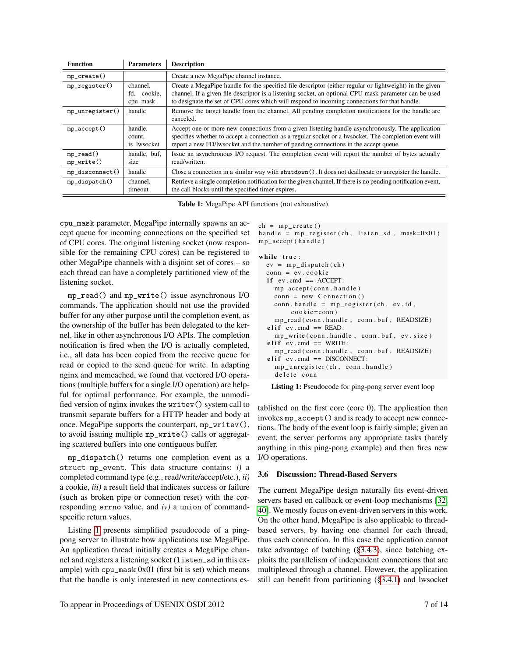<span id="page-6-0"></span>

| <b>Function</b>               | <b>Parameters</b>                   | <b>Description</b>                                                                                                                                                                                                                                                                                                |
|-------------------------------|-------------------------------------|-------------------------------------------------------------------------------------------------------------------------------------------------------------------------------------------------------------------------------------------------------------------------------------------------------------------|
| $mp\_create()$                |                                     | Create a new MegaPipe channel instance.                                                                                                                                                                                                                                                                           |
| $mp\_register()$              | channel.<br>fd, cookie,<br>cpu_mask | Create a MegaPipe handle for the specified file descriptor (either regular or lightweight) in the given<br>channel. If a given file descriptor is a listening socket, an optional CPU mask parameter can be used<br>to designate the set of CPU cores which will respond to incoming connections for that handle. |
| $mp\_unregister()$            | handle                              | Remove the target handle from the channel. All pending completion notifications for the handle are<br>canceled.                                                                                                                                                                                                   |
| $mp\_accept()$                | handle,<br>count,<br>is lwsocket    | Accept one or more new connections from a given listening handle asynchronously. The application<br>specifies whether to accept a connection as a regular socket or a lwsocket. The completion event will<br>report a new FD/lwsocket and the number of pending connections in the accept queue.                  |
| $mp\_read()$<br>$mp\_write()$ | handle, buf,<br>size                | Issue an asynchronous I/O request. The completion event will report the number of bytes actually<br>read/written.                                                                                                                                                                                                 |
| $mp\_disconnect()$            | handle                              | Close a connection in a similar way with shutdown (). It does not deallocate or unregister the handle.                                                                                                                                                                                                            |
| $mp\_dispatch()$              | channel,<br>timeout                 | Retrieve a single completion notification for the given channel. If there is no pending notification event,<br>the call blocks until the specified timer expires.                                                                                                                                                 |

Table 1: MegaPipe API functions (not exhaustive).

cpu\_mask parameter, MegaPipe internally spawns an accept queue for incoming connections on the specified set of CPU cores. The original listening socket (now responsible for the remaining CPU cores) can be registered to other MegaPipe channels with a disjoint set of cores – so each thread can have a completely partitioned view of the listening socket.

mp\_read() and mp\_write() issue asynchronous I/O commands. The application should not use the provided buffer for any other purpose until the completion event, as the ownership of the buffer has been delegated to the kernel, like in other asynchronous I/O APIs. The completion notification is fired when the I/O is actually completed, i.e., all data has been copied from the receive queue for read or copied to the send queue for write. In adapting nginx and memcached, we found that vectored I/O operations (multiple buffers for a single I/O operation) are helpful for optimal performance. For example, the unmodified version of nginx invokes the writev() system call to transmit separate buffers for a HTTP header and body at once. MegaPipe supports the counterpart, mp\_writev(), to avoid issuing multiple mp\_write() calls or aggregating scattered buffers into one contiguous buffer.

mp\_dispatch() returns one completion event as a struct mp\_event. This data structure contains: *i)* a completed command type (e.g., read/write/accept/etc.), *ii)* a cookie, *iii)* a result field that indicates success or failure (such as broken pipe or connection reset) with the corresponding errno value, and *iv)* a union of commandspecific return values.

Listing [1](#page-6-1) presents simplified pseudocode of a pingpong server to illustrate how applications use MegaPipe. An application thread initially creates a MegaPipe channel and registers a listening socket (listen\_sd in this example) with cpu\_mask 0x01 (first bit is set) which means that the handle is only interested in new connections es-

```
ch = mp_c reate ()
handle = mp\_register(ch, listen\_sd, mask=0x01)mp_ accept( handle)
```
while true:  $ev = mp\_dispatch( ch)$  $conn = ev.cookie$ if  $ev$ . cmd ==  $ACCEPT$ : mp\_accept (conn.handle)  $conn = new Connection()$  $conn. handle = mp\_register(ch, ev.fd,$  $\cosh(e) = \cosh(e)$ mp\_read ( conn . handle, conn . buf, READSIZE ) elif  $ev$ . cmd == READ:  $mp_$ write (conn. handle, conn. buf, ev. size)  $\text{elif} \text{ev}.\text{cmd} == \text{WRITE}:$ mp\_read ( conn . handle, conn . buf, READSIZE )  $elif$  ev. cmd == DISCONNECT:  $mp\_unregister$  (ch, conn. handle) de lete conn

Listing 1: Pseudocode for ping-pong server event loop

tablished on the first core (core 0). The application then invokes mp\_accept() and is ready to accept new connections. The body of the event loop is fairly simple; given an event, the server performs any appropriate tasks (barely anything in this ping-pong example) and then fires new I/O operations.

#### 3.6 Discussion: Thread-Based Servers

The current MegaPipe design naturally fits event-driven servers based on callback or event-loop mechanisms [\[32,](#page-13-18) [40\]](#page-13-19). We mostly focus on event-driven servers in this work. On the other hand, MegaPipe is also applicable to threadbased servers, by having one channel for each thread, thus each connection. In this case the application cannot take advantage of batching ([§3.4.3\)](#page-5-0), since batching exploits the parallelism of independent connections that are multiplexed through a channel. However, the application still can benefit from partitioning ([§3.4.1\)](#page-4-0) and lwsocket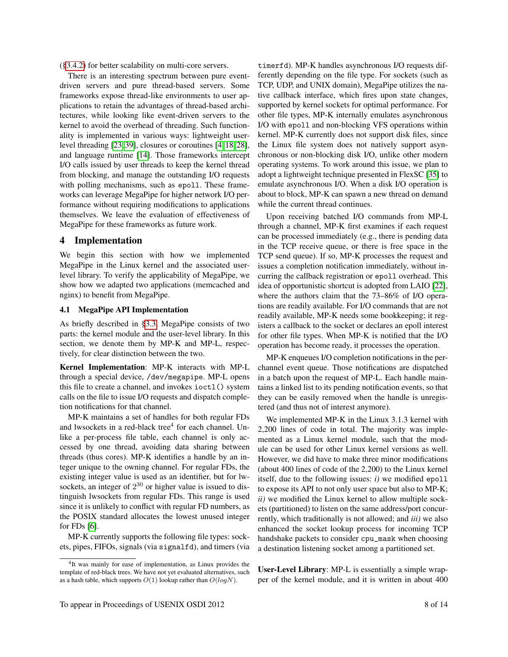([§3.4.2\)](#page-4-1) for better scalability on multi-core servers.

There is an interesting spectrum between pure eventdriven servers and pure thread-based servers. Some frameworks expose thread-like environments to user applications to retain the advantages of thread-based architectures, while looking like event-driven servers to the kernel to avoid the overhead of threading. Such functionality is implemented in various ways: lightweight userlevel threading [\[23,](#page-13-20) [39\]](#page-13-21), closures or coroutines [\[4,](#page-13-22) [18,](#page-13-23) [28\]](#page-13-24), and language runtime [\[14\]](#page-13-25). Those frameworks intercept I/O calls issued by user threads to keep the kernel thread from blocking, and manage the outstanding I/O requests with polling mechanisms, such as epoll. These frameworks can leverage MegaPipe for higher network I/O performance without requiring modifications to applications themselves. We leave the evaluation of effectiveness of MegaPipe for these frameworks as future work.

## <span id="page-7-0"></span>4 Implementation

We begin this section with how we implemented MegaPipe in the Linux kernel and the associated userlevel library. To verify the applicability of MegaPipe, we show how we adapted two applications (memcached and nginx) to benefit from MegaPipe.

## <span id="page-7-1"></span>4.1 MegaPipe API Implementation

As briefly described in [§3.3,](#page-3-2) MegaPipe consists of two parts: the kernel module and the user-level library. In this section, we denote them by MP-K and MP-L, respectively, for clear distinction between the two.

Kernel Implementation: MP-K interacts with MP-L through a special device, /dev/megapipe. MP-L opens this file to create a channel, and invokes ioctl() system calls on the file to issue I/O requests and dispatch completion notifications for that channel.

MP-K maintains a set of handles for both regular FDs and lwsockets in a red-black tree<sup>4</sup> for each channel. Unlike a per-process file table, each channel is only accessed by one thread, avoiding data sharing between threads (thus cores). MP-K identifies a handle by an integer unique to the owning channel. For regular FDs, the existing integer value is used as an identifier, but for lwsockets, an integer of  $2^{30}$  or higher value is issued to distinguish lwsockets from regular FDs. This range is used since it is unlikely to conflict with regular FD numbers, as the POSIX standard allocates the lowest unused integer for FDs [\[6\]](#page-13-14).

MP-K currently supports the following file types: sockets, pipes, FIFOs, signals (via signalfd), and timers (via

timerfd). MP-K handles asynchronous I/O requests differently depending on the file type. For sockets (such as TCP, UDP, and UNIX domain), MegaPipe utilizes the native callback interface, which fires upon state changes, supported by kernel sockets for optimal performance. For other file types, MP-K internally emulates asynchronous I/O with epoll and non-blocking VFS operations within kernel. MP-K currently does not support disk files, since the Linux file system does not natively support asynchronous or non-blocking disk I/O, unlike other modern operating systems. To work around this issue, we plan to adopt a lightweight technique presented in FlexSC [\[35\]](#page-13-3) to emulate asynchronous I/O. When a disk I/O operation is about to block, MP-K can spawn a new thread on demand while the current thread continues.

Upon receiving batched I/O commands from MP-L through a channel, MP-K first examines if each request can be processed immediately (e.g., there is pending data in the TCP receive queue, or there is free space in the TCP send queue). If so, MP-K processes the request and issues a completion notification immediately, without incurring the callback registration or epoll overhead. This idea of opportunistic shortcut is adopted from LAIO [\[22\]](#page-13-26), where the authors claim that the 73–86% of I/O operations are readily available. For I/O commands that are not readily available, MP-K needs some bookkeeping; it registers a callback to the socket or declares an epoll interest for other file types. When MP-K is notified that the I/O operation has become ready, it processes the operation.

MP-K enqueues I/O completion notifications in the perchannel event queue. Those notifications are dispatched in a batch upon the request of MP-L. Each handle maintains a linked list to its pending notification events, so that they can be easily removed when the handle is unregistered (and thus not of interest anymore).

We implemented MP-K in the Linux 3.1.3 kernel with 2,200 lines of code in total. The majority was implemented as a Linux kernel module, such that the module can be used for other Linux kernel versions as well. However, we did have to make three minor modifications (about 400 lines of code of the 2,200) to the Linux kernel itself, due to the following issues: *i)* we modified epoll to expose its API to not only user space but also to MP-K; *ii)* we modified the Linux kernel to allow multiple sockets (partitioned) to listen on the same address/port concurrently, which traditionally is not allowed; and *iii)* we also enhanced the socket lookup process for incoming TCP handshake packets to consider cpu\_mask when choosing a destination listening socket among a partitioned set.

User-Level Library: MP-L is essentially a simple wrapper of the kernel module, and it is written in about 400

<sup>&</sup>lt;sup>4</sup>It was mainly for ease of implementation, as Linux provides the template of red-black trees. We have not yet evaluated alternatives, such as a hash table, which supports  $O(1)$  lookup rather than  $O(logN)$ .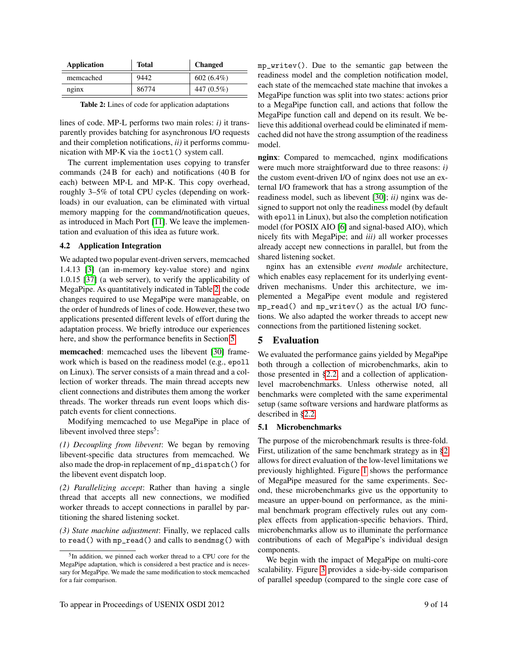<span id="page-8-1"></span>

| Application | <b>Total</b> | <b>Changed</b> |  |  |
|-------------|--------------|----------------|--|--|
| memcached   | 9442         | $602(6.4\%)$   |  |  |
| nginx       | 86774        | 447 (0.5%)     |  |  |

lines of code. MP-L performs two main roles: *i)* it transparently provides batching for asynchronous I/O requests and their completion notifications, *ii)* it performs communication with MP-K via the ioctl() system call.

The current implementation uses copying to transfer commands (24 B for each) and notifications (40 B for each) between MP-L and MP-K. This copy overhead, roughly 3–5% of total CPU cycles (depending on workloads) in our evaluation, can be eliminated with virtual memory mapping for the command/notification queues, as introduced in Mach Port [\[11\]](#page-13-27). We leave the implementation and evaluation of this idea as future work.

#### 4.2 Application Integration

We adapted two popular event-driven servers, memcached 1.4.13 [\[3\]](#page-13-9) (an in-memory key-value store) and nginx 1.0.15 [\[37\]](#page-13-10) (a web server), to verify the applicability of MegaPipe. As quantitatively indicated in Table [2,](#page-8-1) the code changes required to use MegaPipe were manageable, on the order of hundreds of lines of code. However, these two applications presented different levels of effort during the adaptation process. We briefly introduce our experiences here, and show the performance benefits in Section [5.](#page-8-0)

memcached: memcached uses the libevent [\[30\]](#page-13-28) framework which is based on the readiness model (e.g., epoll on Linux). The server consists of a main thread and a collection of worker threads. The main thread accepts new client connections and distributes them among the worker threads. The worker threads run event loops which dispatch events for client connections.

Modifying memcached to use MegaPipe in place of libevent involved three steps<sup>5</sup>:

*(1) Decoupling from libevent*: We began by removing libevent-specific data structures from memcached. We also made the drop-in replacement of mp\_dispatch() for the libevent event dispatch loop.

*(2) Parallelizing accept*: Rather than having a single thread that accepts all new connections, we modified worker threads to accept connections in parallel by partitioning the shared listening socket.

*(3) State machine adjustment*: Finally, we replaced calls to read() with mp\_read() and calls to sendmsg() with mp\_writev(). Due to the semantic gap between the readiness model and the completion notification model, each state of the memcached state machine that invokes a MegaPipe function was split into two states: actions prior to a MegaPipe function call, and actions that follow the MegaPipe function call and depend on its result. We believe this additional overhead could be eliminated if memcached did not have the strong assumption of the readiness model.

nginx: Compared to memcached, nginx modifications were much more straightforward due to three reasons: *i)* the custom event-driven I/O of nginx does not use an external I/O framework that has a strong assumption of the readiness model, such as libevent [\[30\]](#page-13-28); *ii)* nginx was designed to support not only the readiness model (by default with epoll in Linux), but also the completion notification model (for POSIX AIO [\[6\]](#page-13-14) and signal-based AIO), which nicely fits with MegaPipe; and *iii)* all worker processes already accept new connections in parallel, but from the shared listening socket.

nginx has an extensible *event module* architecture, which enables easy replacement for its underlying eventdriven mechanisms. Under this architecture, we implemented a MegaPipe event module and registered mp\_read() and mp\_writev() as the actual I/O functions. We also adapted the worker threads to accept new connections from the partitioned listening socket.

## <span id="page-8-0"></span>5 Evaluation

We evaluated the performance gains yielded by MegaPipe both through a collection of microbenchmarks, akin to those presented in [§2.2,](#page-2-0) and a collection of applicationlevel macrobenchmarks. Unless otherwise noted, all benchmarks were completed with the same experimental setup (same software versions and hardware platforms as described in [§2.2.](#page-2-0)

#### 5.1 Microbenchmarks

The purpose of the microbenchmark results is three-fold. First, utilization of the same benchmark strategy as in [§2](#page-1-0) allows for direct evaluation of the low-level limitations we previously highlighted. Figure [1](#page-2-1) shows the performance of MegaPipe measured for the same experiments. Second, these microbenchmarks give us the opportunity to measure an upper-bound on performance, as the minimal benchmark program effectively rules out any complex effects from application-specific behaviors. Third, microbenchmarks allow us to illuminate the performance contributions of each of MegaPipe's individual design components.

We begin with the impact of MegaPipe on multi-core scalability. Figure [3](#page-9-0) provides a side-by-side comparison of parallel speedup (compared to the single core case of

<sup>&</sup>lt;sup>5</sup>In addition, we pinned each worker thread to a CPU core for the MegaPipe adaptation, which is considered a best practice and is necessary for MegaPipe. We made the same modification to stock memcached for a fair comparison.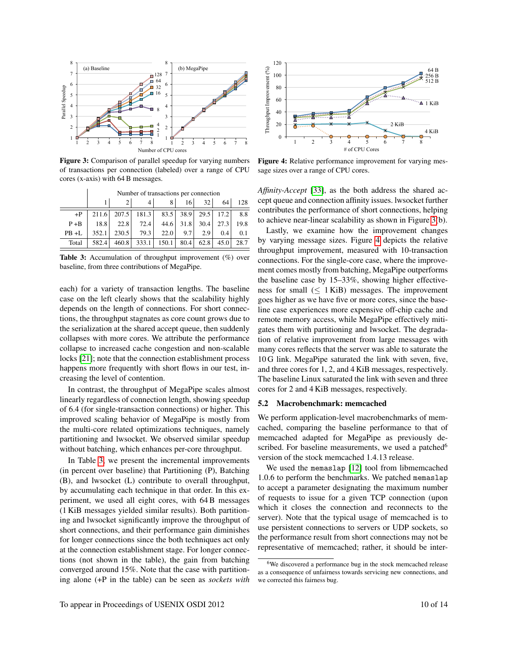<span id="page-9-0"></span>

Figure 3: Comparison of parallel speedup for varying numbers of transactions per connection (labeled) over a range of CPU cores (x-axis) with 64 B messages.

<span id="page-9-1"></span>

|          | Number of transactions per connection |                                           |      |      |     |     |                          |     |  |  |  |
|----------|---------------------------------------|-------------------------------------------|------|------|-----|-----|--------------------------|-----|--|--|--|
|          |                                       |                                           |      | 8    | 16  | 32  | 64                       | 128 |  |  |  |
| $+P$     |                                       | 211.6 207.5 181.3 83.5 38.9 29.5 17.2 8.8 |      |      |     |     |                          |     |  |  |  |
| $P + B$  |                                       | $18.8$ 22.8 72.4                          |      |      |     |     | 44.6 31.8 30.4 27.3 19.8 |     |  |  |  |
| $PB + L$ | 352.1                                 | 230.5                                     | 79.3 | 22.0 | 9.7 | 2.9 | 0.4                      | 0.1 |  |  |  |

Table 3: Accumulation of throughput improvement (%) over baseline, from three contributions of MegaPipe.

Total | 582.4 | 460.8 | 333.1 | 150.1 | 80.4 | 62.8 | 45.0 | 28.7

each) for a variety of transaction lengths. The baseline case on the left clearly shows that the scalability highly depends on the length of connections. For short connections, the throughput stagnates as core count grows due to the serialization at the shared accept queue, then suddenly collapses with more cores. We attribute the performance collapse to increased cache congestion and non-scalable locks [\[21\]](#page-13-29); note that the connection establishment process happens more frequently with short flows in our test, increasing the level of contention.

In contrast, the throughput of MegaPipe scales almost linearly regardless of connection length, showing speedup of 6.4 (for single-transaction connections) or higher. This improved scaling behavior of MegaPipe is mostly from the multi-core related optimizations techniques, namely partitioning and lwsocket. We observed similar speedup without batching, which enhances per-core throughput.

In Table [3,](#page-9-1) we present the incremental improvements (in percent over baseline) that Partitioning (P), Batching (B), and lwsocket (L) contribute to overall throughput, by accumulating each technique in that order. In this experiment, we used all eight cores, with 64 B messages (1 KiB messages yielded similar results). Both partitioning and lwsocket significantly improve the throughput of short connections, and their performance gain diminishes for longer connections since the both techniques act only at the connection establishment stage. For longer connections (not shown in the table), the gain from batching converged around 15%. Note that the case with partitioning alone (+P in the table) can be seen as *sockets with*

<span id="page-9-2"></span>

Figure 4: Relative performance improvement for varying message sizes over a range of CPU cores.

*Affinity-Accept* [\[33\]](#page-13-2), as the both address the shared accept queue and connection affinity issues. lwsocket further contributes the performance of short connections, helping to achieve near-linear scalability as shown in Figure [3\(](#page-9-0)b).

Lastly, we examine how the improvement changes by varying message sizes. Figure [4](#page-9-2) depicts the relative throughput improvement, measured with 10-transaction connections. For the single-core case, where the improvement comes mostly from batching, MegaPipe outperforms the baseline case by 15–33%, showing higher effectiveness for small  $(\leq 1$  KiB) messages. The improvement goes higher as we have five or more cores, since the baseline case experiences more expensive off-chip cache and remote memory access, while MegaPipe effectively mitigates them with partitioning and lwsocket. The degradation of relative improvement from large messages with many cores reflects that the server was able to saturate the 10 G link. MegaPipe saturated the link with seven, five, and three cores for 1, 2, and 4 KiB messages, respectively. The baseline Linux saturated the link with seven and three cores for 2 and 4 KiB messages, respectively.

#### 5.2 Macrobenchmark: memcached

We perform application-level macrobenchmarks of memcached, comparing the baseline performance to that of memcached adapted for MegaPipe as previously described. For baseline measurements, we used a patched<sup>6</sup> version of the stock memcached 1.4.13 release.

We used the memaslap [\[12\]](#page-13-30) tool from libmemcached 1.0.6 to perform the benchmarks. We patched memaslap to accept a parameter designating the maximum number of requests to issue for a given TCP connection (upon which it closes the connection and reconnects to the server). Note that the typical usage of memcached is to use persistent connections to servers or UDP sockets, so the performance result from short connections may not be representative of memcached; rather, it should be inter-

<sup>&</sup>lt;sup>6</sup>We discovered a performance bug in the stock memcached release as a consequence of unfairness towards servicing new connections, and we corrected this fairness bug.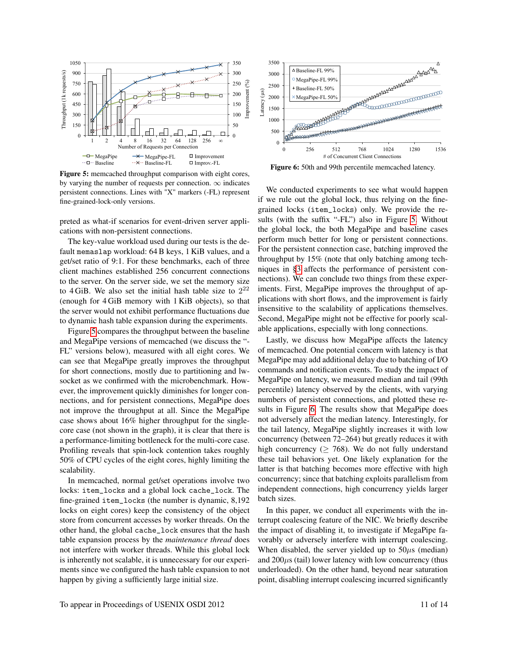<span id="page-10-0"></span>

Figure 5: memcached throughput comparison with eight cores, by varying the number of requests per connection.  $\infty$  indicates persistent connections. Lines with "X" markers (-FL) represent fine-grained-lock-only versions.

preted as what-if scenarios for event-driven server applications with non-persistent connections.

The key-value workload used during our tests is the default memaslap workload: 64 B keys, 1 KiB values, and a get/set ratio of 9:1. For these benchmarks, each of three client machines established 256 concurrent connections to the server. On the server side, we set the memory size to 4 GiB. We also set the initial hash table size to  $2^{22}$ (enough for 4 GiB memory with 1 KiB objects), so that the server would not exhibit performance fluctuations due to dynamic hash table expansion during the experiments.

Figure [5](#page-10-0) compares the throughput between the baseline and MegaPipe versions of memcached (we discuss the "- FL" versions below), measured with all eight cores. We can see that MegaPipe greatly improves the throughput for short connections, mostly due to partitioning and lwsocket as we confirmed with the microbenchmark. However, the improvement quickly diminishes for longer connections, and for persistent connections, MegaPipe does not improve the throughput at all. Since the MegaPipe case shows about 16% higher throughput for the singlecore case (not shown in the graph), it is clear that there is a performance-limiting bottleneck for the multi-core case. Profiling reveals that spin-lock contention takes roughly 50% of CPU cycles of the eight cores, highly limiting the scalability.

In memcached, normal get/set operations involve two locks: item\_locks and a global lock cache\_lock. The fine-grained item\_locks (the number is dynamic, 8,192 locks on eight cores) keep the consistency of the object store from concurrent accesses by worker threads. On the other hand, the global cache\_lock ensures that the hash table expansion process by the *maintenance thread* does not interfere with worker threads. While this global lock is inherently not scalable, it is unnecessary for our experiments since we configured the hash table expansion to not happen by giving a sufficiently large initial size.

<span id="page-10-1"></span>

Figure 6: 50th and 99th percentile memcached latency.

We conducted experiments to see what would happen if we rule out the global lock, thus relying on the finegrained locks (item\_locks) only. We provide the results (with the suffix "-FL") also in Figure [5.](#page-10-0) Without the global lock, the both MegaPipe and baseline cases perform much better for long or persistent connections. For the persistent connection case, batching improved the throughput by 15% (note that only batching among techniques in [§3](#page-3-0) affects the performance of persistent connections). We can conclude two things from these experiments. First, MegaPipe improves the throughput of applications with short flows, and the improvement is fairly insensitive to the scalability of applications themselves. Second, MegaPipe might not be effective for poorly scalable applications, especially with long connections.

Lastly, we discuss how MegaPipe affects the latency of memcached. One potential concern with latency is that MegaPipe may add additional delay due to batching of I/O commands and notification events. To study the impact of MegaPipe on latency, we measured median and tail (99th percentile) latency observed by the clients, with varying numbers of persistent connections, and plotted these results in Figure [6.](#page-10-1) The results show that MegaPipe does not adversely affect the median latency. Interestingly, for the tail latency, MegaPipe slightly increases it with low concurrency (between 72–264) but greatly reduces it with high concurrency ( $> 768$ ). We do not fully understand these tail behaviors yet. One likely explanation for the latter is that batching becomes more effective with high concurrency; since that batching exploits parallelism from independent connections, high concurrency yields larger batch sizes.

In this paper, we conduct all experiments with the interrupt coalescing feature of the NIC. We briefly describe the impact of disabling it, to investigate if MegaPipe favorably or adversely interfere with interrupt coalescing. When disabled, the server yielded up to  $50\mu s$  (median) and  $200\mu s$  (tail) lower latency with low concurrency (thus underloaded). On the other hand, beyond near saturation point, disabling interrupt coalescing incurred significantly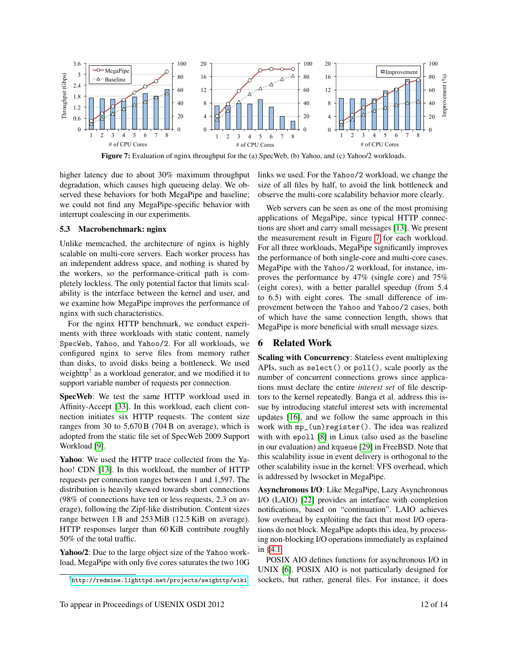<span id="page-11-1"></span>

Figure 7: Evaluation of nginx throughput for the (a) SpecWeb, (b) Yahoo, and (c) Yahoo/2 workloads.

higher latency due to about 30% maximum throughput degradation, which causes high queueing delay. We observed these behaviors for both MegaPipe and baseline; we could not find any MegaPipe-specific behavior with interrupt coalescing in our experiments.

#### 5.3 Macrobenchmark: nginx

Unlike memcached, the architecture of nginx is highly scalable on multi-core servers. Each worker process has an independent address space, and nothing is shared by the workers, so the performance-critical path is completely lockless. The only potential factor that limits scalability is the interface between the kernel and user, and we examine how MegaPipe improves the performance of nginx with such characteristics.

For the nginx HTTP benchmark, we conduct experiments with three workloads with static content, namely SpecWeb, Yahoo, and Yahoo/2. For all workloads, we configured nginx to serve files from memory rather than disks, to avoid disks being a bottleneck. We used weighttp<sup>7</sup> as a workload generator, and we modified it to support variable number of requests per connection.

SpecWeb: We test the same HTTP workload used in Affinity-Accept [\[33\]](#page-13-2). In this workload, each client connection initiates six HTTP requests. The content size ranges from 30 to 5,670 B (704 B on average), which is adopted from the static file set of SpecWeb 2009 Support Workload [\[9\]](#page-13-31).

Yahoo: We used the HTTP trace collected from the Yahoo! CDN [\[13\]](#page-13-32). In this workload, the number of HTTP requests per connection ranges between 1 and 1,597. The distribution is heavily skewed towards short connections (98% of connections have ten or less requests, 2.3 on average), following the Zipf-like distribution. Content sizes range between 1 B and 253 MiB (12.5 KiB on average). HTTP responses larger than 60 KiB contribute roughly 50% of the total traffic.

Yahoo/2: Due to the large object size of the Yahoo workload, MegaPipe with only five cores saturates the two 10G links we used. For the Yahoo/2 workload, we change the size of all files by half, to avoid the link bottleneck and observe the multi-core scalability behavior more clearly.

Web servers can be seen as one of the most promising applications of MegaPipe, since typical HTTP connections are short and carry small messages [\[13\]](#page-13-32). We present the measurement result in Figure [7](#page-11-1) for each workload. For all three workloads, MegaPipe significantly improves the performance of both single-core and multi-core cases. MegaPipe with the Yahoo/2 workload, for instance, improves the performance by 47% (single core) and 75% (eight cores), with a better parallel speedup (from 5.4 to 6.5) with eight cores. The small difference of improvement between the Yahoo and Yahoo/2 cases, both of which have the same connection length, shows that MegaPipe is more beneficial with small message sizes.

### <span id="page-11-0"></span>6 Related Work

Scaling with Concurrency: Stateless event multiplexing APIs, such as select() or poll(), scale poorly as the number of concurrent connections grows since applications must declare the entire *interest set* of file descriptors to the kernel repeatedly. Banga et al. address this issue by introducing stateful interest sets with incremental updates [\[16\]](#page-13-7), and we follow the same approach in this work with mp\_(un)register(). The idea was realized with with epoll [\[8\]](#page-13-5) in Linux (also used as the baseline in our evaluation) and kqueue [\[29\]](#page-13-8) in FreeBSD. Note that this scalability issue in event delivery is orthogonal to the other scalability issue in the kernel: VFS overhead, which is addressed by lwsocket in MegaPipe.

Asynchronous I/O: Like MegaPipe, Lazy Asynchronous I/O (LAIO) [\[22\]](#page-13-26) provides an interface with completion notifications, based on "continuation". LAIO achieves low overhead by exploiting the fact that most I/O operations do not block. MegaPipe adopts this idea, by processing non-blocking I/O operations immediately as explained in [§4.1.](#page-7-1)

POSIX AIO defines functions for asynchronous I/O in UNIX [\[6\]](#page-13-14). POSIX AIO is not particularly designed for sockets, but rather, general files. For instance, it does

 $^{7}$ <http://redmine.lighttpd.net/projects/weighttp/wiki>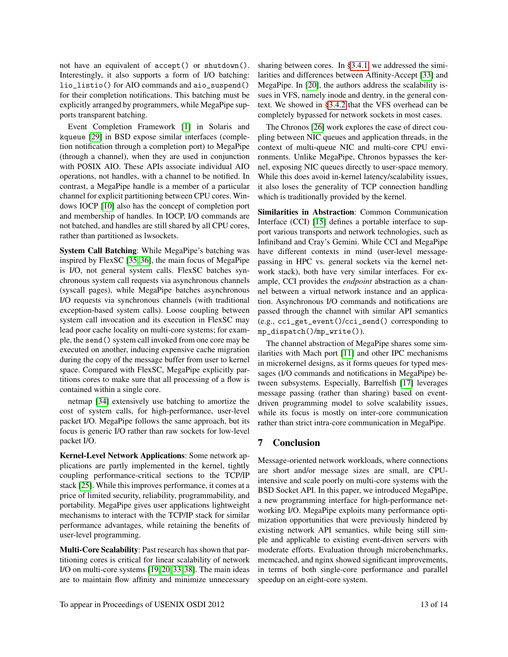not have an equivalent of accept() or shutdown(). Interestingly, it also supports a form of I/O batching: lio\_listio() for AIO commands and aio\_suspend() for their completion notifications. This batching must be explicitly arranged by programmers, while MegaPipe supports transparent batching.

Event Completion Framework [\[1\]](#page-13-4) in Solaris and kqueue [\[29\]](#page-13-8) in BSD expose similar interfaces (completion notification through a completion port) to MegaPipe (through a channel), when they are used in conjunction with POSIX AIO. These APIs associate individual AIO operations, not handles, with a channel to be notified. In contrast, a MegaPipe handle is a member of a particular channel for explicit partitioning between CPU cores. Windows IOCP [\[10\]](#page-13-6) also has the concept of completion port and membership of handles. In IOCP, I/O commands are not batched, and handles are still shared by all CPU cores, rather than partitioned as lwsockets.

System Call Batching: While MegaPipe's batching was inspired by FlexSC [\[35,](#page-13-3) [36\]](#page-13-33), the main focus of MegaPipe is I/O, not general system calls. FlexSC batches synchronous system call requests via asynchronous channels (syscall pages), while MegaPipe batches asynchronous I/O requests via synchronous channels (with traditional exception-based system calls). Loose coupling between system call invocation and its execution in FlexSC may lead poor cache locality on multi-core systems; for example, the send() system call invoked from one core may be executed on another, inducing expensive cache migration during the copy of the message buffer from user to kernel space. Compared with FlexSC, MegaPipe explicitly partitions cores to make sure that all processing of a flow is contained within a single core.

netmap [\[34\]](#page-13-34) extensively use batching to amortize the cost of system calls, for high-performance, user-level packet I/O. MegaPipe follows the same approach, but its focus is generic I/O rather than raw sockets for low-level packet I/O.

Kernel-Level Network Applications: Some network applications are partly implemented in the kernel, tightly coupling performance-critical sections to the TCP/IP stack [\[25\]](#page-13-35). While this improves performance, it comes at a price of limited security, reliability, programmability, and portability. MegaPipe gives user applications lightweight mechanisms to interact with the TCP/IP stack for similar performance advantages, while retaining the benefits of user-level programming.

Multi-Core Scalability: Past research has shown that partitioning cores is critical for linear scalability of network I/O on multi-core systems [\[19,](#page-13-17) [20,](#page-13-1) [33,](#page-13-2) [38\]](#page-13-36). The main ideas are to maintain flow affinity and minimize unnecessary

sharing between cores. In [§3.4.1,](#page-4-0) we addressed the similarities and differences between Affinity-Accept [\[33\]](#page-13-2) and MegaPipe. In [\[20\]](#page-13-1), the authors address the scalability issues in VFS, namely inode and dentry, in the general context. We showed in [§3.4.2](#page-4-1) that the VFS overhead can be completely bypassed for network sockets in most cases.

The Chronos [\[26\]](#page-13-37) work explores the case of direct coupling between NIC queues and application threads, in the context of multi-queue NIC and multi-core CPU environments. Unlike MegaPipe, Chronos bypasses the kernel, exposing NIC queues directly to user-space memory. While this does avoid in-kernel latency/scalability issues, it also loses the generality of TCP connection handling which is traditionally provided by the kernel.

Similarities in Abstraction: Common Communication Interface (CCI) [\[15\]](#page-13-38) defines a portable interface to support various transports and network technologies, such as Infiniband and Cray's Gemini. While CCI and MegaPipe have different contexts in mind (user-level messagepassing in HPC vs. general sockets via the kernel network stack), both have very similar interfaces. For example, CCI provides the *endpoint* abstraction as a channel between a virtual network instance and an application. Asynchronous I/O commands and notifications are passed through the channel with similar API semantics (e.g., cci\_get\_event()/cci\_send() corresponding to mp\_dispatch()/mp\_write()).

The channel abstraction of MegaPipe shares some similarities with Mach port [\[11\]](#page-13-27) and other IPC mechanisms in microkernel designs, as it forms queues for typed messages (I/O commands and notifications in MegaPipe) between subsystems. Especially, Barrelfish [\[17\]](#page-13-39) leverages message passing (rather than sharing) based on eventdriven programming model to solve scalability issues, while its focus is mostly on inter-core communication rather than strict intra-core communication in MegaPipe.

## 7 Conclusion

Message-oriented network workloads, where connections are short and/or message sizes are small, are CPUintensive and scale poorly on multi-core systems with the BSD Socket API. In this paper, we introduced MegaPipe, a new programming interface for high-performance networking I/O. MegaPipe exploits many performance optimization opportunities that were previously hindered by existing network API semantics, while being still simple and applicable to existing event-driven servers with moderate efforts. Evaluation through microbenchmarks, memcached, and nginx showed significant improvements, in terms of both single-core performance and parallel speedup on an eight-core system.